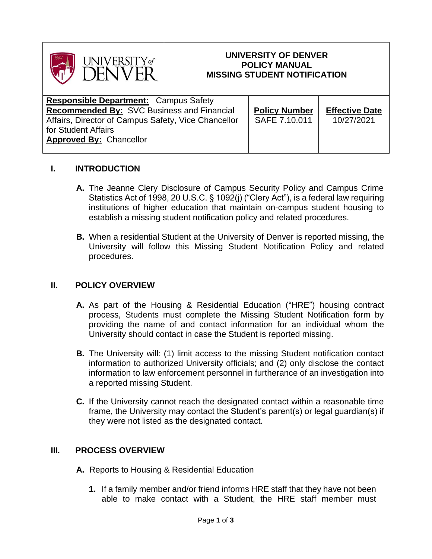

### **UNIVERSITY OF DENVER POLICY MANUAL MISSING STUDENT NOTIFICATION**

| <b>Responsible Department: Campus Safety</b>        |  |                      |                       |
|-----------------------------------------------------|--|----------------------|-----------------------|
| <b>Recommended By: SVC Business and Financial</b>   |  | <b>Policy Number</b> | <b>Effective Date</b> |
| Affairs, Director of Campus Safety, Vice Chancellor |  | SAFE 7.10.011        | 10/27/2021            |
| for Student Affairs                                 |  |                      |                       |
| <b>Approved By: Chancellor</b>                      |  |                      |                       |
|                                                     |  |                      |                       |

## **I. INTRODUCTION**

- **A.** The Jeanne Clery Disclosure of Campus Security Policy and Campus Crime Statistics Act of 1998, 20 U.S.C. § 1092(j) ("Clery Act"), is a federal law requiring institutions of higher education that maintain on-campus student housing to establish a missing student notification policy and related procedures.
- **B.** When a residential Student at the University of Denver is reported missing, the University will follow this Missing Student Notification Policy and related procedures.

#### **II. POLICY OVERVIEW**

- **A.** As part of the Housing & Residential Education ("HRE") housing contract process, Students must complete the Missing Student Notification form by providing the name of and contact information for an individual whom the University should contact in case the Student is reported missing.
- **B.** The University will: (1) limit access to the missing Student notification contact information to authorized University officials; and (2) only disclose the contact information to law enforcement personnel in furtherance of an investigation into a reported missing Student.
- **C.** If the University cannot reach the designated contact within a reasonable time frame, the University may contact the Student's parent(s) or legal guardian(s) if they were not listed as the designated contact.

# **III. PROCESS OVERVIEW**

- **A.** Reports to Housing & Residential Education
	- **1.** If a family member and/or friend informs HRE staff that they have not been able to make contact with a Student, the HRE staff member must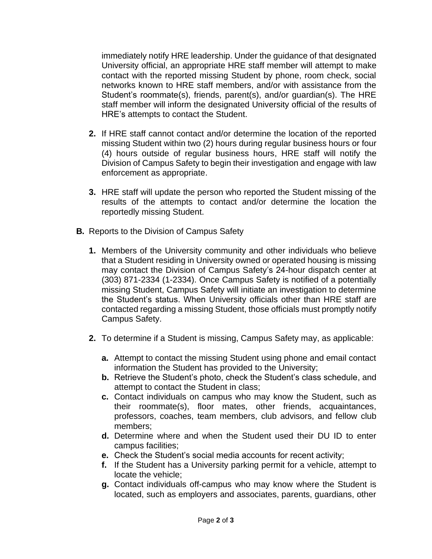immediately notify HRE leadership. Under the guidance of that designated University official, an appropriate HRE staff member will attempt to make contact with the reported missing Student by phone, room check, social networks known to HRE staff members, and/or with assistance from the Student's roommate(s), friends, parent(s), and/or guardian(s). The HRE staff member will inform the designated University official of the results of HRE's attempts to contact the Student.

- **2.** If HRE staff cannot contact and/or determine the location of the reported missing Student within two (2) hours during regular business hours or four (4) hours outside of regular business hours, HRE staff will notify the Division of Campus Safety to begin their investigation and engage with law enforcement as appropriate.
- **3.** HRE staff will update the person who reported the Student missing of the results of the attempts to contact and/or determine the location the reportedly missing Student.
- **B.** Reports to the Division of Campus Safety
	- **1.** Members of the University community and other individuals who believe that a Student residing in University owned or operated housing is missing may contact the Division of Campus Safety's 24-hour dispatch center at (303) 871-2334 (1-2334). Once Campus Safety is notified of a potentially missing Student, Campus Safety will initiate an investigation to determine the Student's status. When University officials other than HRE staff are contacted regarding a missing Student, those officials must promptly notify Campus Safety.
	- **2.** To determine if a Student is missing, Campus Safety may, as applicable:
		- **a.** Attempt to contact the missing Student using phone and email contact information the Student has provided to the University;
		- **b.** Retrieve the Student's photo, check the Student's class schedule, and attempt to contact the Student in class;
		- **c.** Contact individuals on campus who may know the Student, such as their roommate(s), floor mates, other friends, acquaintances, professors, coaches, team members, club advisors, and fellow club members;
		- **d.** Determine where and when the Student used their DU ID to enter campus facilities;
		- **e.** Check the Student's social media accounts for recent activity;
		- **f.** If the Student has a University parking permit for a vehicle, attempt to locate the vehicle;
		- **g.** Contact individuals off-campus who may know where the Student is located, such as employers and associates, parents, guardians, other